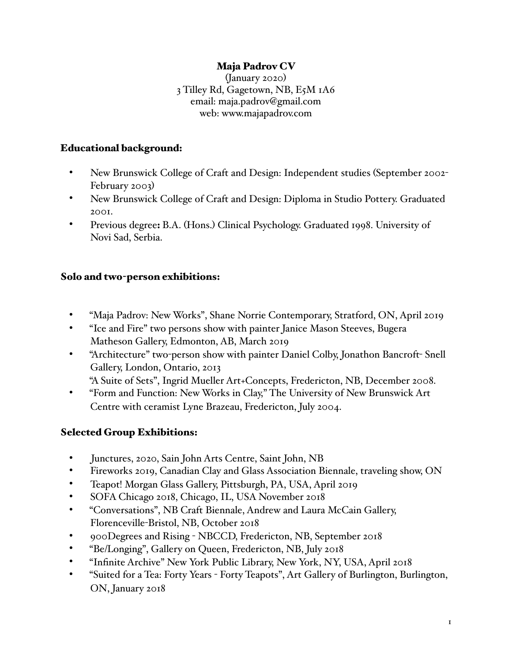### Maja Padrov CV

(January 2020) 3 Tilley Rd, Gagetown, NB, E5M 1A6 email: maja.padrov@gmail.com web: www.majapadrov.com

#### Educational background:

- New Brunswick College of Craft and Design: Independent studies (September 2002- February 2003)
- New Brunswick College of Craft and Design: Diploma in Studio Pottery. Graduated 2001.
- Previous degree: B.A. (Hons.) Clinical Psychology. Graduated 1998. University of Novi Sad, Serbia.

#### Solo and two-person exhibitions:

- "Maja Padrov: New Works", Shane Norrie Contemporary, Stratford, ON, April 2019
- "Ice and Fire" two persons show with painter Janice Mason Steeves, Bugera Matheson Gallery, Edmonton, AB, March 2019
- "Architecture" two-person show with painter Daniel Colby, Jonathon Bancroft- Snell Gallery, London, Ontario, 2013
	- "A Suite of Sets", Ingrid Mueller Art+Concepts, Fredericton, NB, December 2008.
- "Form and Function: New Works in Clay," The University of New Brunswick Art Centre with ceramist Lyne Brazeau, Fredericton, July 2004.

# Selected Group Exhibitions:

- Junctures, 2020, Sain John Arts Centre, Saint John, NB
- Fireworks 2019, Canadian Clay and Glass Association Biennale, traveling show, ON
- Teapot! Morgan Glass Gallery, Pittsburgh, PA, USA, April 2019
- SOFA Chicago 2018, Chicago, IL, USA November 2018
- "Conversations", NB Craft Biennale, Andrew and Laura McCain Gallery, Florenceville-Bristol, NB, October 2018
- 900Degrees and Rising NBCCD, Fredericton, NB, September 2018
- "Be/Longing", Gallery on Queen, Fredericton, NB, July 2018
- "Infinite Archive" New York Public Library, New York, NY, USA, April 2018
- "Suited for a Tea: Forty Years Forty Teapots", Art Gallery of Burlington, Burlington, ON, January 2018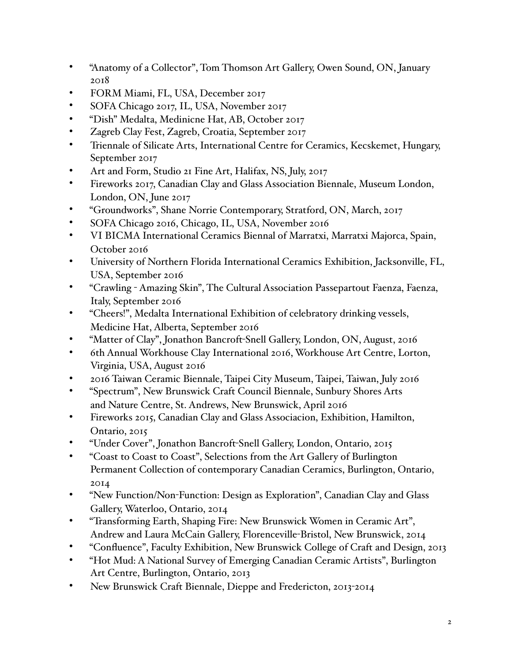- "Anatomy of a Collector", Tom Thomson Art Gallery, Owen Sound, ON, January 2018
- FORM Miami, FL, USA, December 2017
- SOFA Chicago 2017, IL, USA, November 2017
- "Dish" Medalta, Medinicne Hat, AB, October 2017
- Zagreb Clay Fest, Zagreb, Croatia, September 2017
- Triennale of Silicate Arts, International Centre for Ceramics, Kecskemet, Hungary, September 2017
- Art and Form, Studio 21 Fine Art, Halifax, NS, July, 2017
- Fireworks 2017, Canadian Clay and Glass Association Biennale, Museum London, London, ON, June 2017
- "Groundworks", Shane Norrie Contemporary, Stratford, ON, March, 2017
- SOFA Chicago 2016, Chicago, IL, USA, November 2016
- VI BICMA International Ceramics Biennal of Marratxi, Marratxi Majorca, Spain, October 2016
- University of Northern Florida International Ceramics Exhibition, Jacksonville, FL, USA, September 2016
- "Crawling Amazing Skin", The Cultural Association Passepartout Faenza, Faenza, Italy, September 2016
- "Cheers!", Medalta International Exhibition of celebratory drinking vessels, Medicine Hat, Alberta, September 2016
- "Matter of Clay", Jonathon Bancroft-Snell Gallery, London, ON, August, 2016
- 6th Annual Workhouse Clay International 2016, Workhouse Art Centre, Lorton, Virginia, USA, August 2016
- 2016 Taiwan Ceramic Biennale, Taipei City Museum, Taipei, Taiwan, July 2016
- "Spectrum", New Brunswick Craft Council Biennale, Sunbury Shores Arts and Nature Centre, St. Andrews, New Brunswick, April 2016
- Fireworks 2015, Canadian Clay and Glass Associacion, Exhibition, Hamilton, Ontario, 2015
- "Under Cover", Jonathon Bancroft-Snell Gallery, London, Ontario, 2015
- "Coast to Coast to Coast", Selections from the Art Gallery of Burlington Permanent Collection of contemporary Canadian Ceramics, Burlington, Ontario, 2014
- "New Function/Non-Function: Design as Exploration", Canadian Clay and Glass Gallery, Waterloo, Ontario, 2014
- "Transforming Earth, Shaping Fire: New Brunswick Women in Ceramic Art", Andrew and Laura McCain Gallery, Florenceville-Bristol, New Brunswick, 2014
- "Confluence", Faculty Exhibition, New Brunswick College of Craft and Design, 2013
- "Hot Mud: A National Survey of Emerging Canadian Ceramic Artists", Burlington Art Centre, Burlington, Ontario, 2013
- New Brunswick Craft Biennale, Dieppe and Fredericton, 2013-2014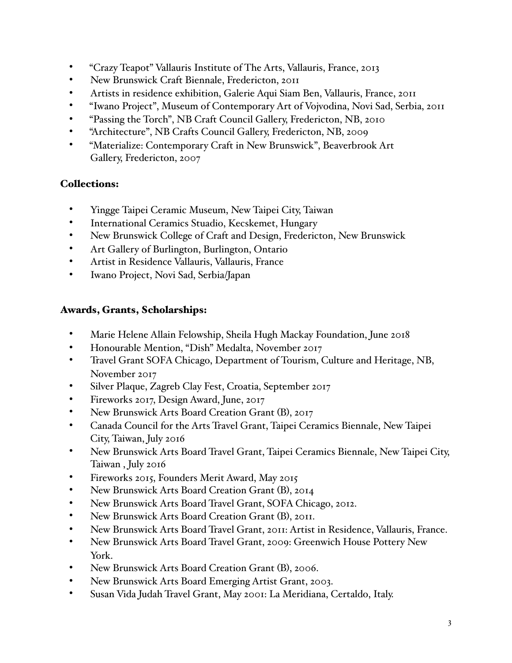- "Crazy Teapot" Vallauris Institute of The Arts, Vallauris, France, 2013
- New Brunswick Craft Biennale, Fredericton, 2011
- Artists in residence exhibition, Galerie Aqui Siam Ben, Vallauris, France, 2011
- "Iwano Project", Museum of Contemporary Art of Vojvodina, Novi Sad, Serbia, 2011
- "Passing the Torch", NB Craft Council Gallery, Fredericton, NB, 2010
- "Architecture", NB Crafts Council Gallery, Fredericton, NB, 2009
- "Materialize: Contemporary Craft in New Brunswick", Beaverbrook Art Gallery, Fredericton, 2007

# Collections:

- Yingge Taipei Ceramic Museum, New Taipei City, Taiwan
- International Ceramics Stuadio, Kecskemet, Hungary
- New Brunswick College of Craft and Design, Fredericton, New Brunswick
- Art Gallery of Burlington, Burlington, Ontario
- Artist in Residence Vallauris, Vallauris, France
- Iwano Project, Novi Sad, Serbia/Japan

### Awards, Grants, Scholarships:

- Marie Helene Allain Felowship, Sheila Hugh Mackay Foundation, June 2018
- Honourable Mention, "Dish" Medalta, November 2017
- Travel Grant SOFA Chicago, Department of Tourism, Culture and Heritage, NB, November 2017
- Silver Plaque, Zagreb Clay Fest, Croatia, September 2017
- Fireworks 2017, Design Award, June, 2017
- New Brunswick Arts Board Creation Grant (B), 2017
- Canada Council for the Arts Travel Grant, Taipei Ceramics Biennale, New Taipei City, Taiwan, July 2016
- New Brunswick Arts Board Travel Grant, Taipei Ceramics Biennale, New Taipei City, Taiwan , July 2016
- Fireworks 2015, Founders Merit Award, May 2015
- New Brunswick Arts Board Creation Grant (B), 2014
- New Brunswick Arts Board Travel Grant, SOFA Chicago, 2012.
- New Brunswick Arts Board Creation Grant (B), 2011.
- New Brunswick Arts Board Travel Grant, 2011: Artist in Residence, Vallauris, France.
- New Brunswick Arts Board Travel Grant, 2009: Greenwich House Pottery New York.
- New Brunswick Arts Board Creation Grant (B), 2006.
- New Brunswick Arts Board Emerging Artist Grant, 2003.
- Susan Vida Judah Travel Grant, May 2001: La Meridiana, Certaldo, Italy.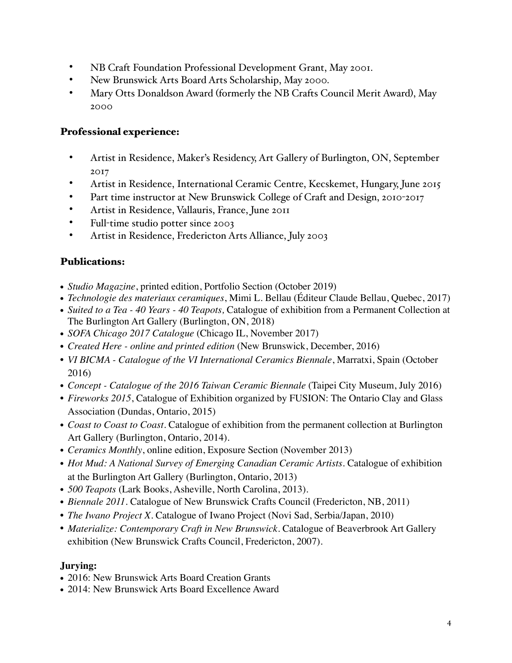- NB Craft Foundation Professional Development Grant, May 2001.
- New Brunswick Arts Board Arts Scholarship, May 2000.
- Mary Otts Donaldson Award (formerly the NB Crafts Council Merit Award), May 2000

### Professional experience:

- Artist in Residence, Maker's Residency, Art Gallery of Burlington, ON, September 2017
- Artist in Residence, International Ceramic Centre, Kecskemet, Hungary, June 2015
- Part time instructor at New Brunswick College of Craft and Design, 2010-2017
- Artist in Residence, Vallauris, France, June 2011
- Full-time studio potter since 2003
- Artist in Residence, Fredericton Arts Alliance, July 2003

### Publications:

- **•** *Studio Magazine*, printed edition, Portfolio Section (October 2019)
- **•** *Technologie des materiaux ceramiques*, Mimi L. Bellau (Éditeur Claude Bellau, Quebec, 2017)
- **•** *Suited to a Tea 40 Years 40 Teapots,* Catalogue of exhibition from a Permanent Collection at The Burlington Art Gallery (Burlington, ON, 2018)
- **•** *SOFA Chicago 2017 Catalogue* (Chicago IL, November 2017)
- *Created Here online and printed edition* (New Brunswick, December, 2016)
- *VI BICMA Catalogue of the VI International Ceramics Biennale*, Marratxi, Spain (October 2016)
- *Concept Catalogue of the 2016 Taiwan Ceramic Biennale* (Taipei City Museum, July 2016)
- *Fireworks 2015*, Catalogue of Exhibition organized by FUSION: The Ontario Clay and Glass Association (Dundas, Ontario, 2015)
- *Coast to Coast to Coast.* Catalogue of exhibition from the permanent collection at Burlington Art Gallery (Burlington, Ontario, 2014).
- *Ceramics Monthly*, online edition, Exposure Section (November 2013)
- *Hot Mud: A National Survey of Emerging Canadian Ceramic Artists. Catalogue of exhibition* at the Burlington Art Gallery (Burlington, Ontario, 2013)
- *500 Teapots* (Lark Books, Asheville, North Carolina, 2013).
- *Biennale 2011*. Catalogue of New Brunswick Crafts Council (Fredericton, NB, 2011)
- *The Iwano Project X*. Catalogue of Iwano Project (Novi Sad, Serbia/Japan, 2010)
- *Materialize: Contemporary Craft in New Brunswick*. Catalogue of Beaverbrook Art Gallery exhibition (New Brunswick Crafts Council, Fredericton, 2007).

# **Jurying:**

- 2016: New Brunswick Arts Board Creation Grants
- 2014: New Brunswick Arts Board Excellence Award